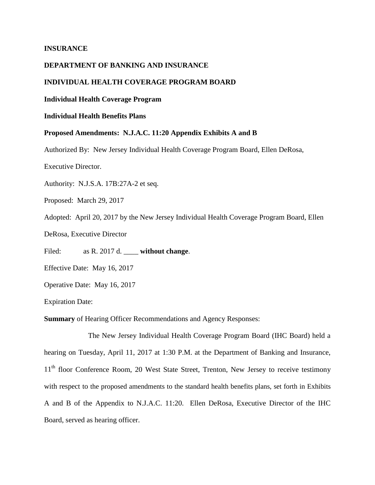### **INSURANCE**

# **DEPARTMENT OF BANKING AND INSURANCE**

# **INDIVIDUAL HEALTH COVERAGE PROGRAM BOARD**

#### **Individual Health Coverage Program**

## **Individual Health Benefits Plans**

#### **Proposed Amendments: N.J.A.C. 11:20 Appendix Exhibits A and B**

Authorized By: New Jersey Individual Health Coverage Program Board, Ellen DeRosa,

Executive Director.

Authority: N.J.S.A. 17B:27A-2 et seq.

Proposed: March 29, 2017

Adopted: April 20, 2017 by the New Jersey Individual Health Coverage Program Board, Ellen

DeRosa, Executive Director

Filed: as R. 2017 d. \_**\_\_\_ without change**.

Effective Date: May 16, 2017

Operative Date: May 16, 2017

Expiration Date:

**Summary** of Hearing Officer Recommendations and Agency Responses:

The New Jersey Individual Health Coverage Program Board (IHC Board) held a hearing on Tuesday, April 11, 2017 at 1:30 P.M. at the Department of Banking and Insurance, 11<sup>th</sup> floor Conference Room, 20 West State Street, Trenton, New Jersey to receive testimony with respect to the proposed amendments to the standard health benefits plans, set forth in Exhibits A and B of the Appendix to N.J.A.C. 11:20. Ellen DeRosa, Executive Director of the IHC Board, served as hearing officer.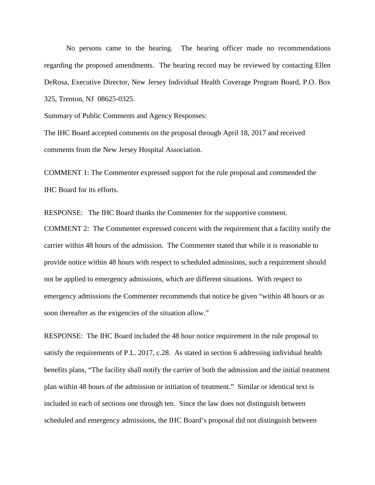No persons came to the hearing. The hearing officer made no recommendations regarding the proposed amendments. The hearing record may be reviewed by contacting Ellen DeRosa, Executive Director, New Jersey Individual Health Coverage Program Board, P.O. Box 325, Trenton, NJ 08625-0325.

Summary of Public Comments and Agency Responses:

The IHC Board accepted comments on the proposal through April 18, 2017 and received comments from the New Jersey Hospital Association.

COMMENT 1: The Commenter expressed support for the rule proposal and commended the IHC Board for its efforts.

RESPONSE: The IHC Board thanks the Commenter for the supportive comment.

COMMENT 2: The Commenter expressed concern with the requirement that a facility notify the carrier within 48 hours of the admission. The Commenter stated that while it is reasonable to provide notice within 48 hours with respect to scheduled admissions, such a requirement should not be applied to emergency admissions, which are different situations. With respect to emergency admissions the Commenter recommends that notice be given "within 48 hours or as soon thereafter as the exigencies of the situation allow."

RESPONSE: The IHC Board included the 48 hour notice requirement in the rule proposal to satisfy the requirements of P.L. 2017, c.28. As stated in section 6 addressing individual health benefits plans, "The facility shall notify the carrier of both the admission and the initial treatment plan within 48 hours of the admission or initiation of treatment." Similar or identical text is included in each of sections one through ten. Since the law does not distinguish between scheduled and emergency admissions, the IHC Board's proposal did not distinguish between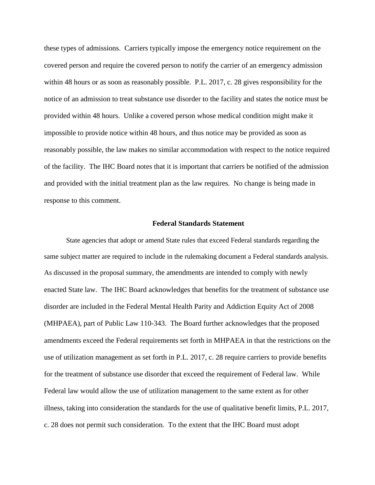these types of admissions. Carriers typically impose the emergency notice requirement on the covered person and require the covered person to notify the carrier of an emergency admission within 48 hours or as soon as reasonably possible. P.L. 2017, c. 28 gives responsibility for the notice of an admission to treat substance use disorder to the facility and states the notice must be provided within 48 hours. Unlike a covered person whose medical condition might make it impossible to provide notice within 48 hours, and thus notice may be provided as soon as reasonably possible, the law makes no similar accommodation with respect to the notice required of the facility. The IHC Board notes that it is important that carriers be notified of the admission and provided with the initial treatment plan as the law requires. No change is being made in response to this comment.

## **Federal Standards Statement**

State agencies that adopt or amend State rules that exceed Federal standards regarding the same subject matter are required to include in the rulemaking document a Federal standards analysis. As discussed in the proposal summary, the amendments are intended to comply with newly enacted State law. The IHC Board acknowledges that benefits for the treatment of substance use disorder are included in the Federal Mental Health Parity and Addiction Equity Act of 2008 (MHPAEA), part of Public Law 110-343. The Board further acknowledges that the proposed amendments exceed the Federal requirements set forth in MHPAEA in that the restrictions on the use of utilization management as set forth in P.L. 2017, c. 28 require carriers to provide benefits for the treatment of substance use disorder that exceed the requirement of Federal law. While Federal law would allow the use of utilization management to the same extent as for other illness, taking into consideration the standards for the use of qualitative benefit limits, P.L. 2017, c. 28 does not permit such consideration. To the extent that the IHC Board must adopt